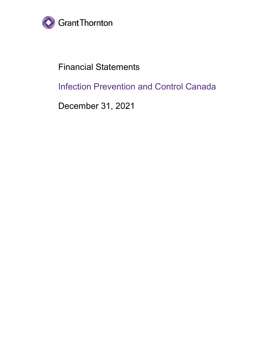

Financial Statements

Infection Prevention and Control Canada

December 31, 2021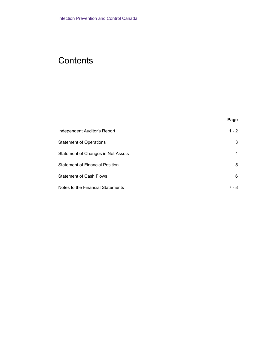# **Contents**

| Independent Auditor's Report           | $1 - 2$ |
|----------------------------------------|---------|
| <b>Statement of Operations</b>         | 3       |
| Statement of Changes in Net Assets     | 4       |
| <b>Statement of Financial Position</b> | 5       |
| <b>Statement of Cash Flows</b>         | 6       |
| Notes to the Financial Statements      | 7 - 8   |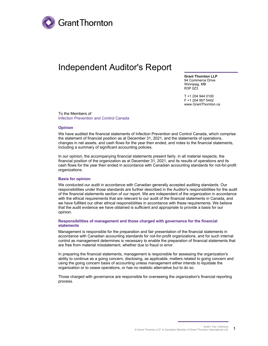

## Independent Auditor's Report

**Grant Thornton LLP** 94 Commerce Drive Winnipeg, MB R3P 0Z3

T +1 204 944 0100 F +1 204 957 5442 www.GrantThornton.ca

To the Members of Infection Prevention and Control Canada

#### **Opinion**

We have audited the financial statements of Infection Prevention and Control Canada, which comprise the statement of financial position as at December 31, 2021, and the statements of operations, changes in net assets, and cash flows for the year then ended, and notes to the financial statements, including a summary of significant accounting policies.

In our opinion, the accompanying financial statements present fairly, in all material respects, the financial position of the organization as at December 31, 2021, and its results of operations and its cash flows for the year then ended in accordance with Canadian accounting standards for not-for-profit organizations.

#### **Basis for opinion**

We conducted our audit in accordance with Canadian generally accepted auditing standards. Our responsibilities under those standards are further described in the Auditor's responsibilities for the audit of the financial statements section of our report. We are independent of the organization in accordance with the ethical requirements that are relevant to our audit of the financial statements in Canada, and we have fulfilled our other ethical responsibilities in accordance with these requirements. We believe that the audit evidence we have obtained is sufficient and appropriate to provide a basis for our opinion.

#### **Responsibilities of management and those charged with governance for the financial statements**

Management is responsible for the preparation and fair presentation of the financial statements in accordance with Canadian accounting standards for not-for-profit organizations, and for such internal control as management determines is necessary to enable the preparation of financial statements that are free from material misstatement, whether due to fraud or error.

In preparing the financial statements, management is responsible for assessing the organization's ability to continue as a going concern, disclosing, as applicable, matters related to going concern and using the going concern basis of accounting unless management either intends to liquidate the organization or to cease operations, or has no realistic alternative but to do so.

Those charged with governance are responsible for overseeing the organization's financial reporting process.

> Audit | Tax | Advisory © Grant Thornton LLP. A Canadian Member of Grant Thornton International Ltd 1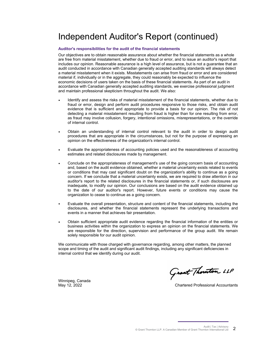# Independent Auditor's Report (continued)

#### **Auditor's responsibilities for the audit of the financial statements**

Our objectives are to obtain reasonable assurance about whether the financial statements as a whole are free from material misstatement, whether due to fraud or error, and to issue an auditor's report that includes our opinion. Reasonable assurance is a high level of assurance, but is not a guarantee that an audit conducted in accordance with Canadian generally accepted auditing standards will always detect a material misstatement when it exists. Misstatements can arise from fraud or error and are considered material if, individually or in the aggregate, they could reasonably be expected to influence the economic decisions of users taken on the basis of these financial statements. As part of an audit in accordance with Canadian generally accepted auditing standards, we exercise professional judgment and maintain professional skepticism throughout the audit. We also:

- Identify and assess the risks of material misstatement of the financial statements, whether due to fraud or error, design and perform audit procedures responsive to those risks, and obtain audit evidence that is sufficient and appropriate to provide a basis for our opinion. The risk of not detecting a material misstatement resulting from fraud is higher than for one resulting from error, as fraud may involve collusion, forgery, intentional omissions, misrepresentations, or the override of internal control.
- Obtain an understanding of internal control relevant to the audit in order to design audit procedures that are appropriate in the circumstances, but not for the purpose of expressing an opinion on the effectiveness of the organization's internal control.
- Evaluate the appropriateness of accounting policies used and the reasonableness of accounting estimates and related disclosures made by management.
- Conclude on the appropriateness of management's use of the going concern basis of accounting and, based on the audit evidence obtained, whether a material uncertainty exists related to events or conditions that may cast significant doubt on the organization's ability to continue as a going concern. If we conclude that a material uncertainty exists, we are required to draw attention in our auditor's report to the related disclosures in the financial statements or, if such disclosures are inadequate, to modify our opinion. Our conclusions are based on the audit evidence obtained up to the date of our auditor's report. However, future events or conditions may cause the organization to cease to continue as a going concern.
- Evaluate the overall presentation, structure and content of the financial statements, including the disclosures, and whether the financial statements represent the underlying transactions and events in a manner that achieves fair presentation.
- Obtain sufficient appropriate audit evidence regarding the financial information of the entities or business activities within the organization to express an opinion on the financial statements. We are responsible for the direction, supervision and performance of the group audit. We remain solely responsible for our audit opinion.

We communicate with those charged with governance regarding, among other matters, the planned scope and timing of the audit and significant audit findings, including any significant deficiencies in internal control that we identify during our audit.

Grant Thouton LLP

Winnipeg, Canada

May 12, 2022 Chartered Professional Accountants

Audit | Tax | Advisory © Grant Thornton LLP. A Canadian Member of Grant Thornton International Ltd  $2$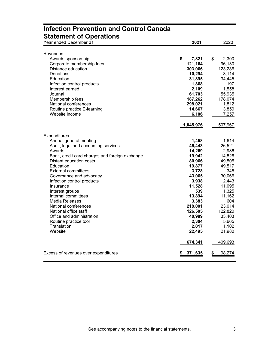| <b>Statement of Operations</b>                 |             |              |
|------------------------------------------------|-------------|--------------|
| Year ended December 31                         | 2021        | 2020         |
|                                                |             |              |
| Revenues                                       |             |              |
| Awards sponsorship                             | \$<br>7,821 | \$<br>2,300  |
| Corporate membership fees                      | 121,164     | 96,130       |
| Distance education                             | 303,066     | 123,286      |
| Donations                                      | 10,294      | 3,114        |
| Education                                      | 31,895      | 34,445       |
| Infection control products                     | 1,868       | 197          |
| Interest earned                                | 2,109       | 1,558        |
| Journal                                        | 61,703      | 55,935       |
| Membership fees                                | 187,262     | 178,074      |
| National conferences                           | 298,021     | 1,812        |
| Routine practice E-learning                    | 14,667      | 3,859        |
| Website income                                 | 6,106       | 7,257        |
|                                                | 1,045,976   | 507,967      |
|                                                |             |              |
| Expenditures                                   |             |              |
| Annual general meeting                         | 1,458       | 1,614        |
| Audit, legal and accounting services           | 45,443      | 26,521       |
| Awards                                         | 14,269      | 2,986        |
| Bank, credit card charges and foreign exchange | 19,942      | 14,526       |
| Distant education costs                        | 80,966      | 49,505       |
| Education                                      | 19,877      | 49,517       |
| <b>External committees</b>                     | 3,728       | 345          |
| Governance and advocacy                        | 43,065      | 30,066       |
| Infection control products                     | 3,938       | 2,443        |
| Insurance                                      | 11,528      | 11,095       |
| Interest groups                                | 539         | 1,325        |
| Internal committees                            | 13,894      | 11,162       |
| Media Releases                                 | 3,383       | 604          |
| National conferences                           | 218,001     | 23,014       |
| National office staff                          | 126,505     | 122,820      |
| Office and administration                      | 40,989      | 33,403       |
| Routine practice tool                          | 2,304       | 5,665        |
| Translation                                    | 2,017       | 1,102        |
| Website                                        | 22,495      | 21,980       |
|                                                | 674,341     | 409,693      |
| Excess of revenues over expenditures           | 371,635     | 98,274<br>\$ |

# **Infection Prevention and Control Canada**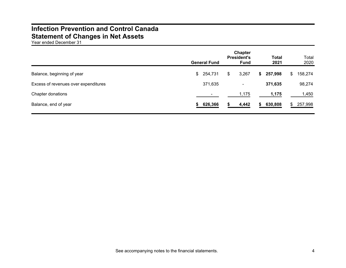## **Infection Prevention and Control Canada Statement of Changes in Net Assets**

Year ended December 31

|                                      | <b>General Fund</b> | Chapter<br><b>President's</b><br><b>Fund</b> |       | <b>Total</b><br>2021 |         | Total<br>2020 |         |
|--------------------------------------|---------------------|----------------------------------------------|-------|----------------------|---------|---------------|---------|
| Balance, beginning of year           | \$254,731           | \$                                           | 3,267 | S.                   | 257,998 | \$.           | 158,274 |
| Excess of revenues over expenditures | 371,635             |                                              | ۰     |                      | 371,635 |               | 98,274  |
| Chapter donations                    |                     |                                              | 1,175 |                      | 1,175   |               | 1,450   |
| Balance, end of year                 | \$626,366           |                                              | 4,442 | S.                   | 630,808 | \$.           | 257,998 |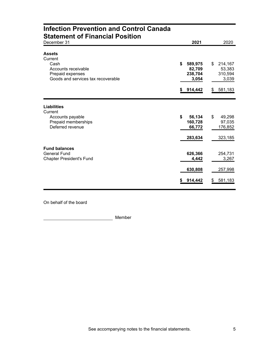| <b>Infection Prevention and Control Canada</b><br><b>Statement of Financial Position</b>                          |         |                                                  |         |                                                  |
|-------------------------------------------------------------------------------------------------------------------|---------|--------------------------------------------------|---------|--------------------------------------------------|
| December 31                                                                                                       |         | 2021                                             |         | 2020                                             |
| <b>Assets</b><br>Current<br>Cash<br>Accounts receivable<br>Prepaid expenses<br>Goods and services tax recoverable | \$<br>S | 589,975<br>82,709<br>238,704<br>3,054<br>914,442 | \$<br>S | 214,167<br>53,383<br>310,594<br>3,039<br>581,183 |
|                                                                                                                   |         |                                                  |         |                                                  |
| <b>Liabilities</b><br>Current<br>Accounts payable<br>Prepaid memberships<br>Deferred revenue                      | \$      | 56,134<br>160,728<br>66,772<br>283,634           | \$      | 49,298<br>97,035<br>176,852<br>323,185           |
| <b>Fund balances</b><br><b>General Fund</b><br><b>Chapter President's Fund</b>                                    |         | 626,366<br>4,442                                 |         | 254,731<br>3,267                                 |
|                                                                                                                   |         | 630,808                                          |         | 257,998                                          |
|                                                                                                                   | \$      | 914,442                                          | \$      | 581,183                                          |

On behalf of the board

Member **Member**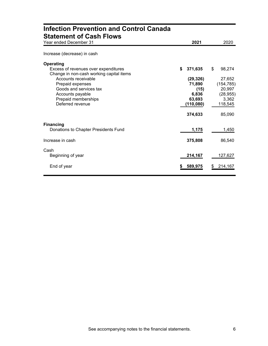| <b>Infection Prevention and Control Canada</b><br><b>Statement of Cash Flows</b>                     |                     |                      |
|------------------------------------------------------------------------------------------------------|---------------------|----------------------|
| Year ended December 31                                                                               | 2021                | 2020                 |
| Increase (decrease) in cash                                                                          |                     |                      |
| <b>Operating</b><br>Excess of revenues over expenditures<br>Change in non-cash working capital items | \$<br>371,635       | \$<br>98,274         |
| Accounts receivable                                                                                  | (29, 326)<br>71,890 | 27,652               |
| Prepaid expenses<br>Goods and services tax                                                           | (15)                | (154, 785)<br>20,997 |
| Accounts payable                                                                                     | 6,836               | (28, 955)            |
| Prepaid memberships<br>Deferred revenue                                                              | 63,693<br>(110,080) | 3,362<br>118,545     |
|                                                                                                      | 374,633             | 85,090               |
| <b>Financing</b>                                                                                     |                     |                      |
| Donations to Chapter Presidents Fund                                                                 | 1,175               | 1,450                |
| Increase in cash                                                                                     | 375,808             | 86,540               |
| Cash<br>Beginning of year                                                                            | 214,167             | 127,627              |
| End of year                                                                                          | 589,975             | 214,167              |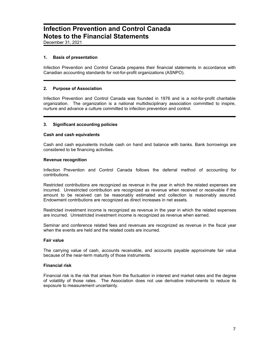### **Infection Prevention and Control Canada Notes to the Financial Statements**

December 31, 2021

#### **1. Basis of presentation**

Infection Prevention and Control Canada prepares their financial statements in accordance with Canadian accounting standards for not-for-profit organizations (ASNPO).

#### **2. Purpose of Association**

Infection Prevention and Control Canada was founded in 1976 and is a not-for-profit charitable organization. The organization is a national multidisciplinary association committed to inspire, nurture and advance a culture committed to infection prevention and control.

#### **3. Significant accounting policies**

#### **Cash and cash equivalents**

Cash and cash equivalents include cash on hand and balance with banks. Bank borrowings are considered to be financing activities.

#### **Revenue recognition**

Infection Prevention and Control Canada follows the deferral method of accounting for contributions.

Restricted contributions are recognized as revenue in the year in which the related expenses are incurred. Unrestricted contribution are recognized as revenue when received or receivable if the amount to be received can be reasonably estimated and collection is reasonably assured. Endowment contributions are recognized as direct increases in net assets.

Restricted investment income is recognized as revenue in the year in which the related expenses are incurred. Unrestricted investment income is recognized as revenue when earned.

Seminar and conference related fees and revenues are recognized as revenue in the fiscal year when the events are held and the related costs are incurred.

#### **Fair value**

The carrying value of cash, accounts receivable, and accounts payable approximate fair value because of the near-term maturity of those instruments.

#### **Financial risk**

Financial risk is the risk that arises from the fluctuation in interest and market rates and the degree of volatility of those rates. The Association does not use derivative instruments to reduce its exposure to measurement uncertainty.